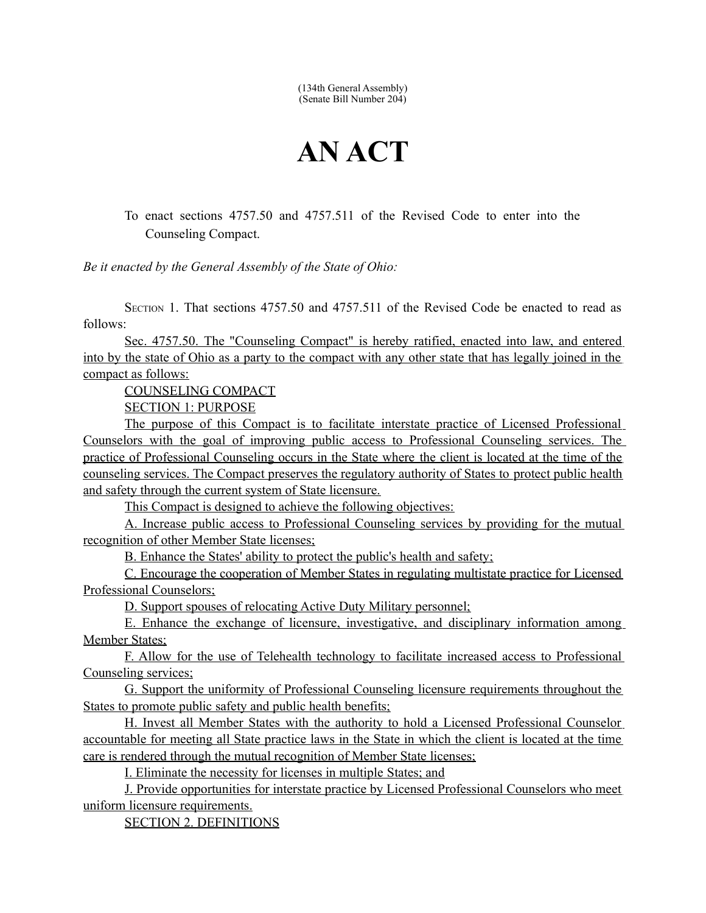(134th General Assembly) (Senate Bill Number 204)

## **AN ACT**

To enact sections 4757.50 and 4757.511 of the Revised Code to enter into the Counseling Compact.

*Be it enacted by the General Assembly of the State of Ohio:*

SECTION 1. That sections 4757.50 and 4757.511 of the Revised Code be enacted to read as follows:

 Sec. 4757.50. The "Counseling Compact" is hereby ratified, enacted into law, and entered into by the state of Ohio as a party to the compact with any other state that has legally joined in the compact as follows:

COUNSELING COMPACT

SECTION 1: PURPOSE

The purpose of this Compact is to facilitate interstate practice of Licensed Professional Counselors with the goal of improving public access to Professional Counseling services. The practice of Professional Counseling occurs in the State where the client is located at the time of the counseling services. The Compact preserves the regulatory authority of States to protect public health and safety through the current system of State licensure.

This Compact is designed to achieve the following objectives:

A. Increase public access to Professional Counseling services by providing for the mutual recognition of other Member State licenses;

B. Enhance the States' ability to protect the public's health and safety;

C. Encourage the cooperation of Member States in regulating multistate practice for Licensed Professional Counselors;

D. Support spouses of relocating Active Duty Military personnel;

E. Enhance the exchange of licensure, investigative, and disciplinary information among Member States;

F. Allow for the use of Telehealth technology to facilitate increased access to Professional Counseling services;

G. Support the uniformity of Professional Counseling licensure requirements throughout the States to promote public safety and public health benefits;

H. Invest all Member States with the authority to hold a Licensed Professional Counselor accountable for meeting all State practice laws in the State in which the client is located at the time care is rendered through the mutual recognition of Member State licenses;

I. Eliminate the necessity for licenses in multiple States; and

J. Provide opportunities for interstate practice by Licensed Professional Counselors who meet uniform licensure requirements.

SECTION 2. DEFINITIONS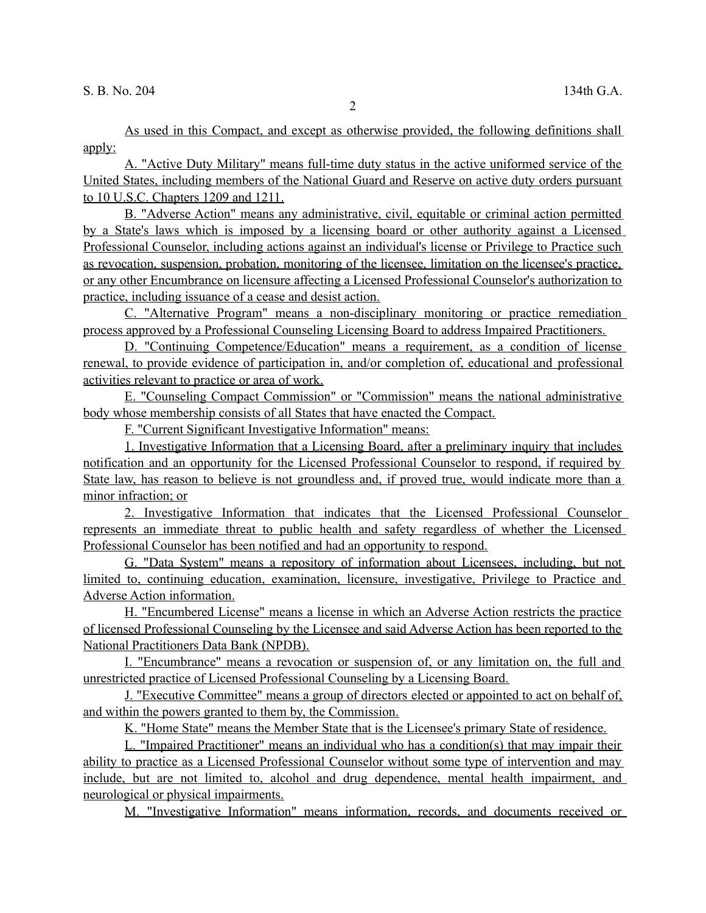As used in this Compact, and except as otherwise provided, the following definitions shall apply:

A. "Active Duty Military" means full-time duty status in the active uniformed service of the United States, including members of the National Guard and Reserve on active duty orders pursuant to 10 U.S.C. Chapters 1209 and 1211.

B. "Adverse Action" means any administrative, civil, equitable or criminal action permitted by a State's laws which is imposed by a licensing board or other authority against a Licensed Professional Counselor, including actions against an individual's license or Privilege to Practice such as revocation, suspension, probation, monitoring of the licensee, limitation on the licensee's practice, or any other Encumbrance on licensure affecting a Licensed Professional Counselor's authorization to practice, including issuance of a cease and desist action.

C. "Alternative Program" means a non-disciplinary monitoring or practice remediation process approved by a Professional Counseling Licensing Board to address Impaired Practitioners.

D. "Continuing Competence/Education" means a requirement, as a condition of license renewal, to provide evidence of participation in, and/or completion of, educational and professional activities relevant to practice or area of work.

E. "Counseling Compact Commission" or "Commission" means the national administrative body whose membership consists of all States that have enacted the Compact.

F. "Current Significant Investigative Information" means:

1. Investigative Information that a Licensing Board, after a preliminary inquiry that includes notification and an opportunity for the Licensed Professional Counselor to respond, if required by State law, has reason to believe is not groundless and, if proved true, would indicate more than a minor infraction; or

2. Investigative Information that indicates that the Licensed Professional Counselor represents an immediate threat to public health and safety regardless of whether the Licensed Professional Counselor has been notified and had an opportunity to respond.

G. "Data System" means a repository of information about Licensees, including, but not limited to, continuing education, examination, licensure, investigative, Privilege to Practice and Adverse Action information.

H. "Encumbered License" means a license in which an Adverse Action restricts the practice of licensed Professional Counseling by the Licensee and said Adverse Action has been reported to the National Practitioners Data Bank (NPDB).

I. "Encumbrance" means a revocation or suspension of, or any limitation on, the full and unrestricted practice of Licensed Professional Counseling by a Licensing Board.

 J. "Executive Committee" means a group of directors elected or appointed to act on behalf of, and within the powers granted to them by, the Commission.

K. "Home State" means the Member State that is the Licensee's primary State of residence.

L. "Impaired Practitioner" means an individual who has a condition(s) that may impair their ability to practice as a Licensed Professional Counselor without some type of intervention and may include, but are not limited to, alcohol and drug dependence, mental health impairment, and neurological or physical impairments.

M. "Investigative Information" means information, records, and documents received or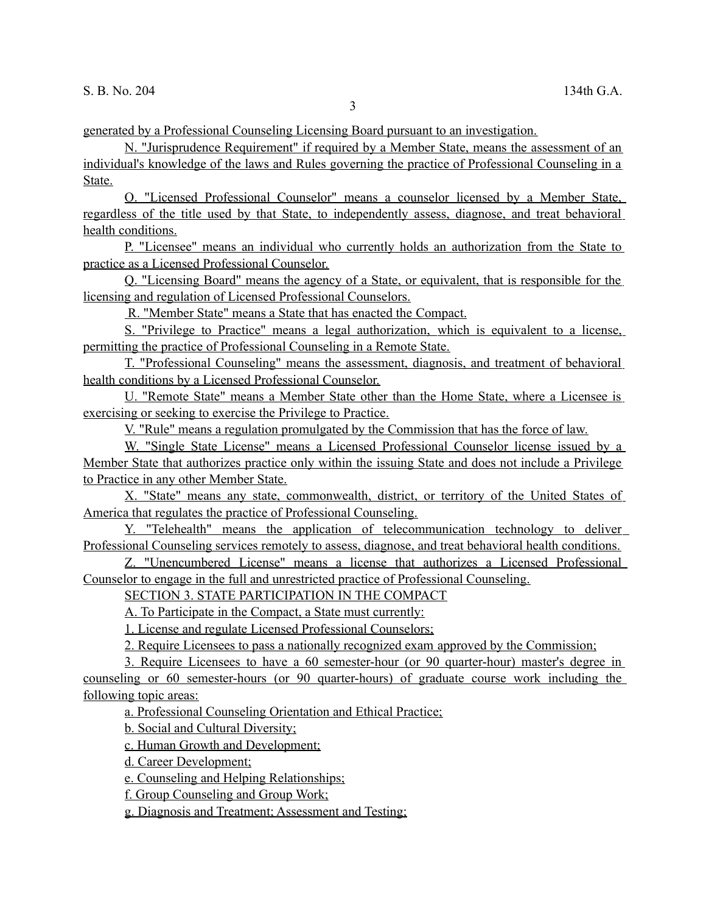generated by a Professional Counseling Licensing Board pursuant to an investigation.

N. "Jurisprudence Requirement" if required by a Member State, means the assessment of an individual's knowledge of the laws and Rules governing the practice of Professional Counseling in a State.

O. "Licensed Professional Counselor" means a counselor licensed by a Member State, regardless of the title used by that State, to independently assess, diagnose, and treat behavioral health conditions.

P. "Licensee" means an individual who currently holds an authorization from the State to practice as a Licensed Professional Counselor.

Q. "Licensing Board" means the agency of a State, or equivalent, that is responsible for the licensing and regulation of Licensed Professional Counselors.

R. "Member State" means a State that has enacted the Compact.

 S. "Privilege to Practice" means a legal authorization, which is equivalent to a license, permitting the practice of Professional Counseling in a Remote State.

T. "Professional Counseling" means the assessment, diagnosis, and treatment of behavioral health conditions by a Licensed Professional Counselor.

U. "Remote State" means a Member State other than the Home State, where a Licensee is exercising or seeking to exercise the Privilege to Practice.

V. "Rule" means a regulation promulgated by the Commission that has the force of law.

W. "Single State License" means a Licensed Professional Counselor license issued by a Member State that authorizes practice only within the issuing State and does not include a Privilege to Practice in any other Member State.

X. "State" means any state, commonwealth, district, or territory of the United States of America that regulates the practice of Professional Counseling.

Y. "Telehealth" means the application of telecommunication technology to deliver Professional Counseling services remotely to assess, diagnose, and treat behavioral health conditions.

Z. "Unencumbered License" means a license that authorizes a Licensed Professional Counselor to engage in the full and unrestricted practice of Professional Counseling.

SECTION 3. STATE PARTICIPATION IN THE COMPACT

A. To Participate in the Compact, a State must currently:

1. License and regulate Licensed Professional Counselors;

2. Require Licensees to pass a nationally recognized exam approved by the Commission;

3. Require Licensees to have a 60 semester-hour (or 90 quarter-hour) master's degree in counseling or 60 semester-hours (or 90 quarter-hours) of graduate course work including the following topic areas:

a. Professional Counseling Orientation and Ethical Practice;

b. Social and Cultural Diversity;

c. Human Growth and Development;

d. Career Development;

e. Counseling and Helping Relationships;

f. Group Counseling and Group Work;

g. Diagnosis and Treatment; Assessment and Testing;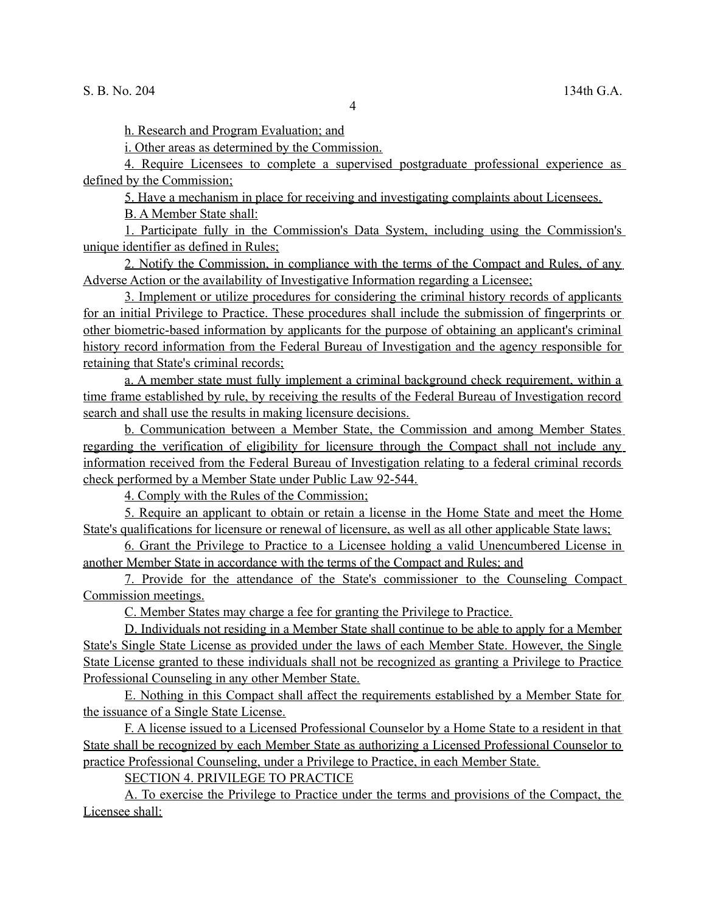h. Research and Program Evaluation; and

i. Other areas as determined by the Commission.

4. Require Licensees to complete a supervised postgraduate professional experience as defined by the Commission;

5. Have a mechanism in place for receiving and investigating complaints about Licensees.

B. A Member State shall:

1. Participate fully in the Commission's Data System, including using the Commission's unique identifier as defined in Rules;

2. Notify the Commission, in compliance with the terms of the Compact and Rules, of any Adverse Action or the availability of Investigative Information regarding a Licensee;

3. Implement or utilize procedures for considering the criminal history records of applicants for an initial Privilege to Practice. These procedures shall include the submission of fingerprints or other biometric-based information by applicants for the purpose of obtaining an applicant's criminal history record information from the Federal Bureau of Investigation and the agency responsible for retaining that State's criminal records;

a. A member state must fully implement a criminal background check requirement, within a time frame established by rule, by receiving the results of the Federal Bureau of Investigation record search and shall use the results in making licensure decisions.

b. Communication between a Member State, the Commission and among Member States regarding the verification of eligibility for licensure through the Compact shall not include any information received from the Federal Bureau of Investigation relating to a federal criminal records check performed by a Member State under Public Law 92-544.

4. Comply with the Rules of the Commission;

5. Require an applicant to obtain or retain a license in the Home State and meet the Home State's qualifications for licensure or renewal of licensure, as well as all other applicable State laws;

6. Grant the Privilege to Practice to a Licensee holding a valid Unencumbered License in another Member State in accordance with the terms of the Compact and Rules; and

 7. Provide for the attendance of the State's commissioner to the Counseling Compact Commission meetings.

C. Member States may charge a fee for granting the Privilege to Practice.

D. Individuals not residing in a Member State shall continue to be able to apply for a Member State's Single State License as provided under the laws of each Member State. However, the Single State License granted to these individuals shall not be recognized as granting a Privilege to Practice Professional Counseling in any other Member State.

E. Nothing in this Compact shall affect the requirements established by a Member State for the issuance of a Single State License.

F. A license issued to a Licensed Professional Counselor by a Home State to a resident in that State shall be recognized by each Member State as authorizing a Licensed Professional Counselor to practice Professional Counseling, under a Privilege to Practice, in each Member State.

SECTION 4. PRIVILEGE TO PRACTICE

A. To exercise the Privilege to Practice under the terms and provisions of the Compact, the Licensee shall: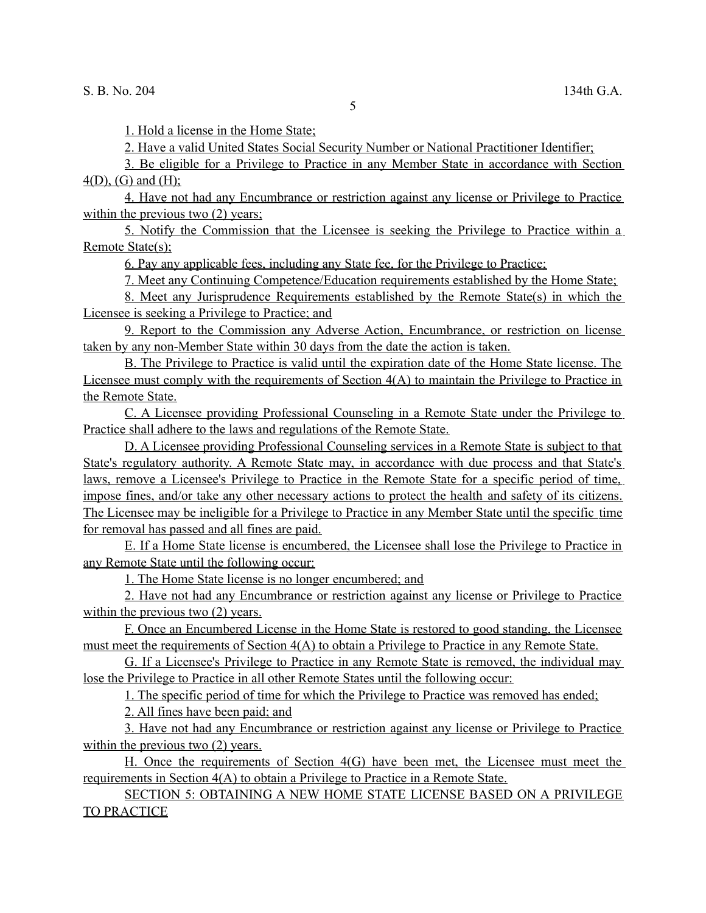1. Hold a license in the Home State;

2. Have a valid United States Social Security Number or National Practitioner Identifier;

3. Be eligible for a Privilege to Practice in any Member State in accordance with Section  $4(D)$ , (G) and (H);

4. Have not had any Encumbrance or restriction against any license or Privilege to Practice within the previous two (2) years;

5. Notify the Commission that the Licensee is seeking the Privilege to Practice within a Remote State(s);

6. Pay any applicable fees, including any State fee, for the Privilege to Practice;

7. Meet any Continuing Competence/Education requirements established by the Home State;

8. Meet any Jurisprudence Requirements established by the Remote State(s) in which the Licensee is seeking a Privilege to Practice; and

9. Report to the Commission any Adverse Action, Encumbrance, or restriction on license taken by any non-Member State within 30 days from the date the action is taken.

B. The Privilege to Practice is valid until the expiration date of the Home State license. The Licensee must comply with the requirements of Section 4(A) to maintain the Privilege to Practice in the Remote State.

C. A Licensee providing Professional Counseling in a Remote State under the Privilege to Practice shall adhere to the laws and regulations of the Remote State.

D. A Licensee providing Professional Counseling services in a Remote State is subject to that State's regulatory authority. A Remote State may, in accordance with due process and that State's laws, remove a Licensee's Privilege to Practice in the Remote State for a specific period of time, impose fines, and/or take any other necessary actions to protect the health and safety of its citizens. The Licensee may be ineligible for a Privilege to Practice in any Member State until the specific time for removal has passed and all fines are paid.

E. If a Home State license is encumbered, the Licensee shall lose the Privilege to Practice in any Remote State until the following occur:

1. The Home State license is no longer encumbered; and

2. Have not had any Encumbrance or restriction against any license or Privilege to Practice within the previous two  $(2)$  years.

F. Once an Encumbered License in the Home State is restored to good standing, the Licensee must meet the requirements of Section 4(A) to obtain a Privilege to Practice in any Remote State.

G. If a Licensee's Privilege to Practice in any Remote State is removed, the individual may lose the Privilege to Practice in all other Remote States until the following occur:

1. The specific period of time for which the Privilege to Practice was removed has ended;

2. All fines have been paid; and

3. Have not had any Encumbrance or restriction against any license or Privilege to Practice within the previous two (2) years.

H. Once the requirements of Section 4(G) have been met, the Licensee must meet the requirements in Section 4(A) to obtain a Privilege to Practice in a Remote State.

 SECTION 5: OBTAINING A NEW HOME STATE LICENSE BASED ON A PRIVILEGE TO PRACTICE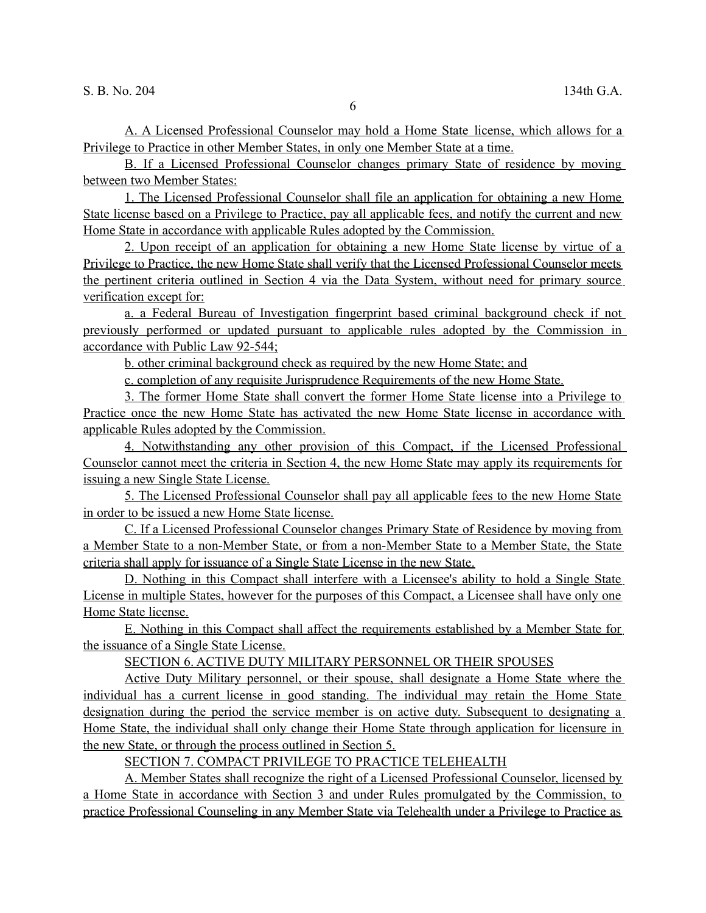S. B. No. 204 134th G.A.

6

 A. A Licensed Professional Counselor may hold a Home State license, which allows for a Privilege to Practice in other Member States, in only one Member State at a time.

B. If a Licensed Professional Counselor changes primary State of residence by moving between two Member States:

1. The Licensed Professional Counselor shall file an application for obtaining a new Home State license based on a Privilege to Practice, pay all applicable fees, and notify the current and new Home State in accordance with applicable Rules adopted by the Commission.

2. Upon receipt of an application for obtaining a new Home State license by virtue of a Privilege to Practice, the new Home State shall verify that the Licensed Professional Counselor meets the pertinent criteria outlined in Section 4 via the Data System, without need for primary source verification except for:

a. a Federal Bureau of Investigation fingerprint based criminal background check if not previously performed or updated pursuant to applicable rules adopted by the Commission in accordance with Public Law 92-544;

b. other criminal background check as required by the new Home State; and

c. completion of any requisite Jurisprudence Requirements of the new Home State.

3. The former Home State shall convert the former Home State license into a Privilege to Practice once the new Home State has activated the new Home State license in accordance with applicable Rules adopted by the Commission.

4. Notwithstanding any other provision of this Compact, if the Licensed Professional Counselor cannot meet the criteria in Section 4, the new Home State may apply its requirements for issuing a new Single State License.

5. The Licensed Professional Counselor shall pay all applicable fees to the new Home State in order to be issued a new Home State license.

C. If a Licensed Professional Counselor changes Primary State of Residence by moving from a Member State to a non-Member State, or from a non-Member State to a Member State, the State criteria shall apply for issuance of a Single State License in the new State.

D. Nothing in this Compact shall interfere with a Licensee's ability to hold a Single State License in multiple States, however for the purposes of this Compact, a Licensee shall have only one Home State license.

E. Nothing in this Compact shall affect the requirements established by a Member State for the issuance of a Single State License.

## SECTION 6. ACTIVE DUTY MILITARY PERSONNEL OR THEIR SPOUSES

Active Duty Military personnel, or their spouse, shall designate a Home State where the individual has a current license in good standing. The individual may retain the Home State designation during the period the service member is on active duty. Subsequent to designating a Home State, the individual shall only change their Home State through application for licensure in the new State, or through the process outlined in Section 5.

SECTION 7. COMPACT PRIVILEGE TO PRACTICE TELEHEALTH

 A. Member States shall recognize the right of a Licensed Professional Counselor, licensed by a Home State in accordance with Section 3 and under Rules promulgated by the Commission, to practice Professional Counseling in any Member State via Telehealth under a Privilege to Practice as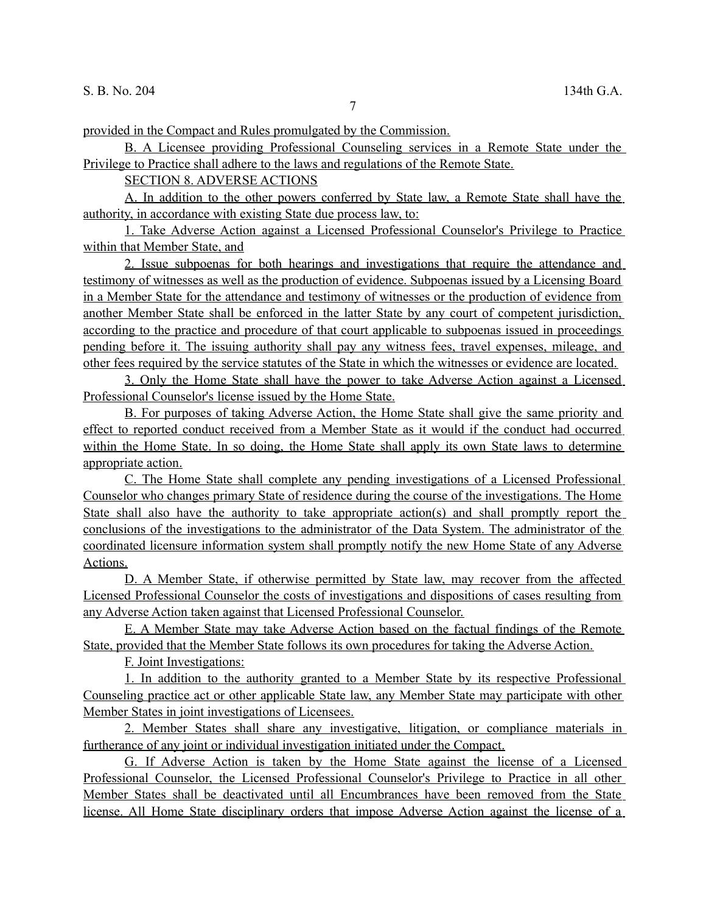7

provided in the Compact and Rules promulgated by the Commission.

B. A Licensee providing Professional Counseling services in a Remote State under the Privilege to Practice shall adhere to the laws and regulations of the Remote State.

SECTION 8. ADVERSE ACTIONS

A. In addition to the other powers conferred by State law, a Remote State shall have the authority, in accordance with existing State due process law, to:

1. Take Adverse Action against a Licensed Professional Counselor's Privilege to Practice within that Member State, and

2. Issue subpoenas for both hearings and investigations that require the attendance and testimony of witnesses as well as the production of evidence. Subpoenas issued by a Licensing Board in a Member State for the attendance and testimony of witnesses or the production of evidence from another Member State shall be enforced in the latter State by any court of competent jurisdiction, according to the practice and procedure of that court applicable to subpoenas issued in proceedings pending before it. The issuing authority shall pay any witness fees, travel expenses, mileage, and other fees required by the service statutes of the State in which the witnesses or evidence are located.

3. Only the Home State shall have the power to take Adverse Action against a Licensed Professional Counselor's license issued by the Home State.

B. For purposes of taking Adverse Action, the Home State shall give the same priority and effect to reported conduct received from a Member State as it would if the conduct had occurred within the Home State. In so doing, the Home State shall apply its own State laws to determine appropriate action.

C. The Home State shall complete any pending investigations of a Licensed Professional Counselor who changes primary State of residence during the course of the investigations. The Home State shall also have the authority to take appropriate action(s) and shall promptly report the conclusions of the investigations to the administrator of the Data System. The administrator of the coordinated licensure information system shall promptly notify the new Home State of any Adverse Actions.

D. A Member State, if otherwise permitted by State law, may recover from the affected Licensed Professional Counselor the costs of investigations and dispositions of cases resulting from any Adverse Action taken against that Licensed Professional Counselor.

E. A Member State may take Adverse Action based on the factual findings of the Remote State, provided that the Member State follows its own procedures for taking the Adverse Action.

F. Joint Investigations:

1. In addition to the authority granted to a Member State by its respective Professional Counseling practice act or other applicable State law, any Member State may participate with other Member States in joint investigations of Licensees.

 2. Member States shall share any investigative, litigation, or compliance materials in furtherance of any joint or individual investigation initiated under the Compact.

G. If Adverse Action is taken by the Home State against the license of a Licensed Professional Counselor, the Licensed Professional Counselor's Privilege to Practice in all other Member States shall be deactivated until all Encumbrances have been removed from the State license. All Home State disciplinary orders that impose Adverse Action against the license of a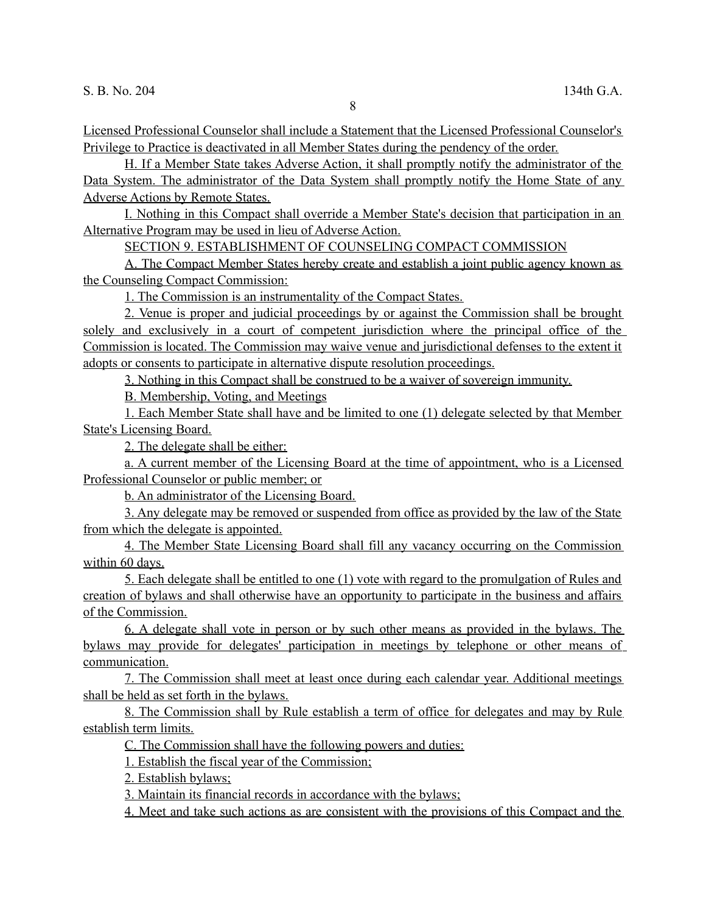8

Licensed Professional Counselor shall include a Statement that the Licensed Professional Counselor's Privilege to Practice is deactivated in all Member States during the pendency of the order.

H. If a Member State takes Adverse Action, it shall promptly notify the administrator of the Data System. The administrator of the Data System shall promptly notify the Home State of any Adverse Actions by Remote States.

I. Nothing in this Compact shall override a Member State's decision that participation in an Alternative Program may be used in lieu of Adverse Action.

SECTION 9. ESTABLISHMENT OF COUNSELING COMPACT COMMISSION

A. The Compact Member States hereby create and establish a joint public agency known as the Counseling Compact Commission:

1. The Commission is an instrumentality of the Compact States.

2. Venue is proper and judicial proceedings by or against the Commission shall be brought solely and exclusively in a court of competent jurisdiction where the principal office of the Commission is located. The Commission may waive venue and jurisdictional defenses to the extent it adopts or consents to participate in alternative dispute resolution proceedings.

3. Nothing in this Compact shall be construed to be a waiver of sovereign immunity.

B. Membership, Voting, and Meetings

1. Each Member State shall have and be limited to one (1) delegate selected by that Member State's Licensing Board.

2. The delegate shall be either:

a. A current member of the Licensing Board at the time of appointment, who is a Licensed Professional Counselor or public member; or

b. An administrator of the Licensing Board.

3. Any delegate may be removed or suspended from office as provided by the law of the State from which the delegate is appointed.

4. The Member State Licensing Board shall fill any vacancy occurring on the Commission within 60 days.

5. Each delegate shall be entitled to one (1) vote with regard to the promulgation of Rules and creation of bylaws and shall otherwise have an opportunity to participate in the business and affairs of the Commission.

6. A delegate shall vote in person or by such other means as provided in the bylaws. The bylaws may provide for delegates' participation in meetings by telephone or other means of communication.

7. The Commission shall meet at least once during each calendar year. Additional meetings shall be held as set forth in the bylaws.

 8. The Commission shall by Rule establish a term of office for delegates and may by Rule establish term limits.

C. The Commission shall have the following powers and duties:

1. Establish the fiscal year of the Commission;

2. Establish bylaws;

3. Maintain its financial records in accordance with the bylaws;

4. Meet and take such actions as are consistent with the provisions of this Compact and the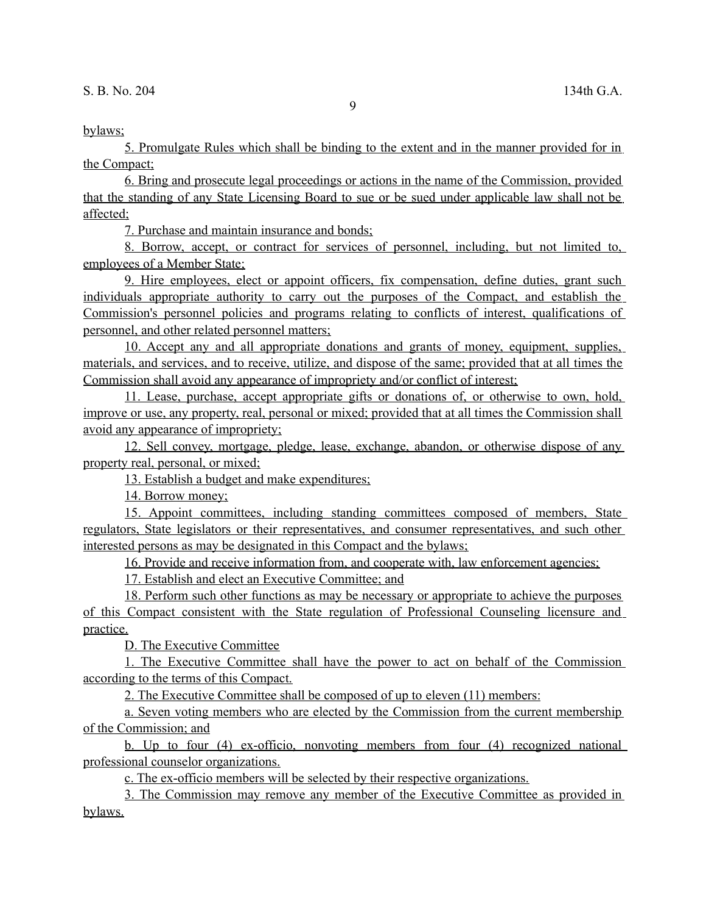## bylaws;

5. Promulgate Rules which shall be binding to the extent and in the manner provided for in the Compact;

6. Bring and prosecute legal proceedings or actions in the name of the Commission, provided that the standing of any State Licensing Board to sue or be sued under applicable law shall not be affected;

7. Purchase and maintain insurance and bonds;

8. Borrow, accept, or contract for services of personnel, including, but not limited to, employees of a Member State;

9. Hire employees, elect or appoint officers, fix compensation, define duties, grant such individuals appropriate authority to carry out the purposes of the Compact, and establish the Commission's personnel policies and programs relating to conflicts of interest, qualifications of personnel, and other related personnel matters;

10. Accept any and all appropriate donations and grants of money, equipment, supplies, materials, and services, and to receive, utilize, and dispose of the same; provided that at all times the Commission shall avoid any appearance of impropriety and/or conflict of interest;

11. Lease, purchase, accept appropriate gifts or donations of, or otherwise to own, hold, improve or use, any property, real, personal or mixed; provided that at all times the Commission shall avoid any appearance of impropriety;

12. Sell convey, mortgage, pledge, lease, exchange, abandon, or otherwise dispose of any property real, personal, or mixed;

13. Establish a budget and make expenditures;

14. Borrow money;

15. Appoint committees, including standing committees composed of members, State regulators, State legislators or their representatives, and consumer representatives, and such other interested persons as may be designated in this Compact and the bylaws;

16. Provide and receive information from, and cooperate with, law enforcement agencies;

17. Establish and elect an Executive Committee; and

18. Perform such other functions as may be necessary or appropriate to achieve the purposes of this Compact consistent with the State regulation of Professional Counseling licensure and practice.

D. The Executive Committee

1. The Executive Committee shall have the power to act on behalf of the Commission according to the terms of this Compact.

2. The Executive Committee shall be composed of up to eleven (11) members:

a. Seven voting members who are elected by the Commission from the current membership of the Commission; and

b. Up to four (4) ex-officio, nonvoting members from four (4) recognized national professional counselor organizations.

c. The ex-officio members will be selected by their respective organizations.

3. The Commission may remove any member of the Executive Committee as provided in bylaws.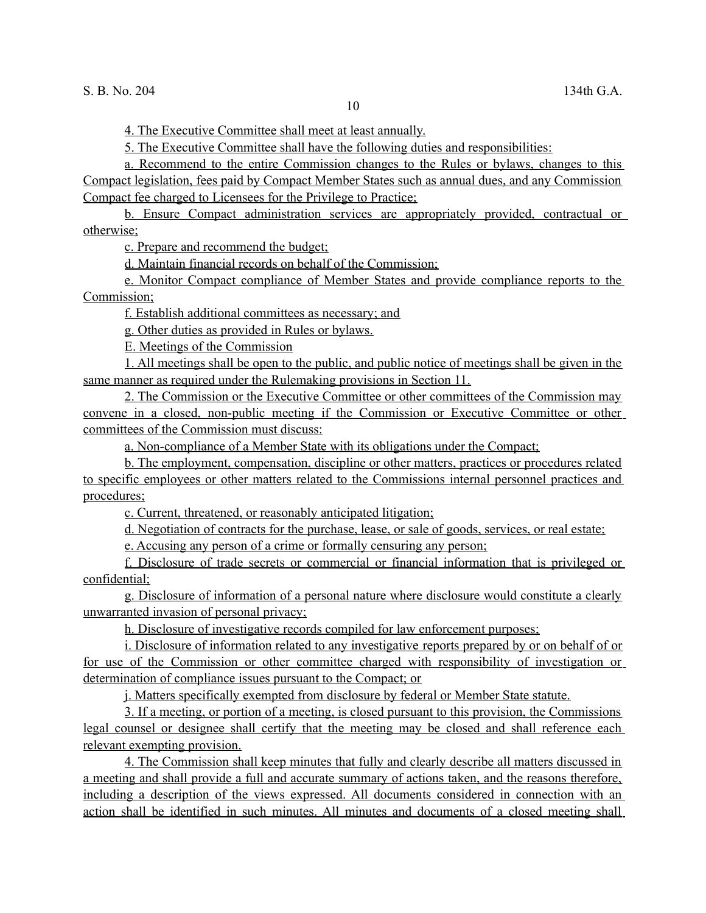4. The Executive Committee shall meet at least annually.

5. The Executive Committee shall have the following duties and responsibilities:

a. Recommend to the entire Commission changes to the Rules or bylaws, changes to this Compact legislation, fees paid by Compact Member States such as annual dues, and any Commission Compact fee charged to Licensees for the Privilege to Practice;

b. Ensure Compact administration services are appropriately provided, contractual or otherwise;

c. Prepare and recommend the budget;

d. Maintain financial records on behalf of the Commission;

e. Monitor Compact compliance of Member States and provide compliance reports to the Commission;

f. Establish additional committees as necessary; and

g. Other duties as provided in Rules or bylaws.

E. Meetings of the Commission

1. All meetings shall be open to the public, and public notice of meetings shall be given in the same manner as required under the Rulemaking provisions in Section 11.

2. The Commission or the Executive Committee or other committees of the Commission may convene in a closed, non-public meeting if the Commission or Executive Committee or other committees of the Commission must discuss:

a. Non-compliance of a Member State with its obligations under the Compact;

b. The employment, compensation, discipline or other matters, practices or procedures related to specific employees or other matters related to the Commissions internal personnel practices and procedures;

c. Current, threatened, or reasonably anticipated litigation;

d. Negotiation of contracts for the purchase, lease, or sale of goods, services, or real estate;

e. Accusing any person of a crime or formally censuring any person;

f. Disclosure of trade secrets or commercial or financial information that is privileged or confidential;

g. Disclosure of information of a personal nature where disclosure would constitute a clearly unwarranted invasion of personal privacy;

h. Disclosure of investigative records compiled for law enforcement purposes;

 i. Disclosure of information related to any investigative reports prepared by or on behalf of or for use of the Commission or other committee charged with responsibility of investigation or determination of compliance issues pursuant to the Compact; or

j. Matters specifically exempted from disclosure by federal or Member State statute.

3. If a meeting, or portion of a meeting, is closed pursuant to this provision, the Commissions legal counsel or designee shall certify that the meeting may be closed and shall reference each relevant exempting provision.

4. The Commission shall keep minutes that fully and clearly describe all matters discussed in a meeting and shall provide a full and accurate summary of actions taken, and the reasons therefore, including a description of the views expressed. All documents considered in connection with an action shall be identified in such minutes. All minutes and documents of a closed meeting shall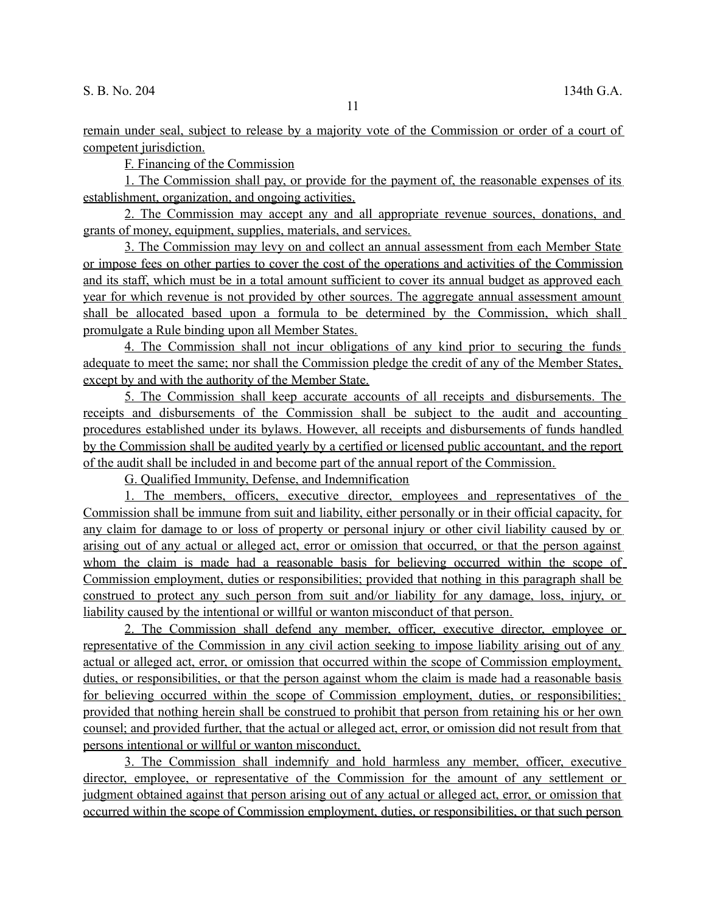remain under seal, subject to release by a majority vote of the Commission or order of a court of competent jurisdiction.

F. Financing of the Commission

1. The Commission shall pay, or provide for the payment of, the reasonable expenses of its establishment, organization, and ongoing activities.

2. The Commission may accept any and all appropriate revenue sources, donations, and grants of money, equipment, supplies, materials, and services.

3. The Commission may levy on and collect an annual assessment from each Member State or impose fees on other parties to cover the cost of the operations and activities of the Commission and its staff, which must be in a total amount sufficient to cover its annual budget as approved each year for which revenue is not provided by other sources. The aggregate annual assessment amount shall be allocated based upon a formula to be determined by the Commission, which shall promulgate a Rule binding upon all Member States.

4. The Commission shall not incur obligations of any kind prior to securing the funds adequate to meet the same; nor shall the Commission pledge the credit of any of the Member States, except by and with the authority of the Member State.

5. The Commission shall keep accurate accounts of all receipts and disbursements. The receipts and disbursements of the Commission shall be subject to the audit and accounting procedures established under its bylaws. However, all receipts and disbursements of funds handled by the Commission shall be audited yearly by a certified or licensed public accountant, and the report of the audit shall be included in and become part of the annual report of the Commission.

G. Qualified Immunity, Defense, and Indemnification

1. The members, officers, executive director, employees and representatives of the Commission shall be immune from suit and liability, either personally or in their official capacity, for any claim for damage to or loss of property or personal injury or other civil liability caused by or arising out of any actual or alleged act, error or omission that occurred, or that the person against whom the claim is made had a reasonable basis for believing occurred within the scope of Commission employment, duties or responsibilities; provided that nothing in this paragraph shall be construed to protect any such person from suit and/or liability for any damage, loss, injury, or liability caused by the intentional or willful or wanton misconduct of that person.

2. The Commission shall defend any member, officer, executive director, employee or representative of the Commission in any civil action seeking to impose liability arising out of any actual or alleged act, error, or omission that occurred within the scope of Commission employment, duties, or responsibilities, or that the person against whom the claim is made had a reasonable basis for believing occurred within the scope of Commission employment, duties, or responsibilities; provided that nothing herein shall be construed to prohibit that person from retaining his or her own counsel; and provided further, that the actual or alleged act, error, or omission did not result from that persons intentional or willful or wanton misconduct.

3. The Commission shall indemnify and hold harmless any member, officer, executive director, employee, or representative of the Commission for the amount of any settlement or judgment obtained against that person arising out of any actual or alleged act, error, or omission that occurred within the scope of Commission employment, duties, or responsibilities, or that such person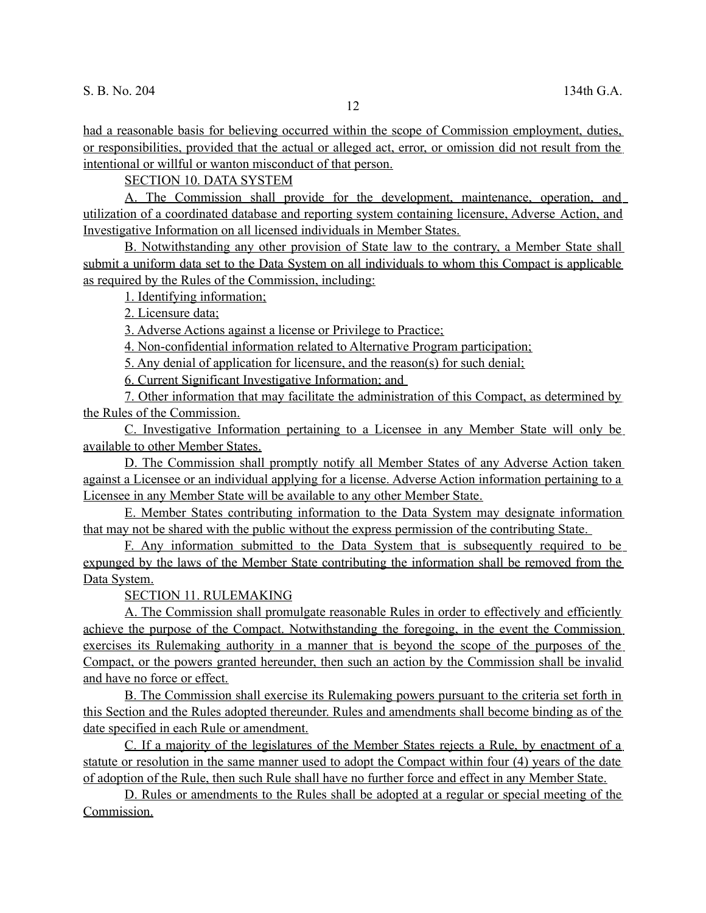had a reasonable basis for believing occurred within the scope of Commission employment, duties, or responsibilities, provided that the actual or alleged act, error, or omission did not result from the intentional or willful or wanton misconduct of that person.

SECTION 10. DATA SYSTEM

A. The Commission shall provide for the development, maintenance, operation, and utilization of a coordinated database and reporting system containing licensure, Adverse Action, and Investigative Information on all licensed individuals in Member States.

B. Notwithstanding any other provision of State law to the contrary, a Member State shall submit a uniform data set to the Data System on all individuals to whom this Compact is applicable as required by the Rules of the Commission, including:

1. Identifying information;

2. Licensure data;

3. Adverse Actions against a license or Privilege to Practice;

4. Non-confidential information related to Alternative Program participation;

5. Any denial of application for licensure, and the reason(s) for such denial;

6. Current Significant Investigative Information; and

7. Other information that may facilitate the administration of this Compact, as determined by the Rules of the Commission.

C. Investigative Information pertaining to a Licensee in any Member State will only be available to other Member States.

D. The Commission shall promptly notify all Member States of any Adverse Action taken against a Licensee or an individual applying for a license. Adverse Action information pertaining to a Licensee in any Member State will be available to any other Member State.

 E. Member States contributing information to the Data System may designate information that may not be shared with the public without the express permission of the contributing State.

F. Any information submitted to the Data System that is subsequently required to be expunged by the laws of the Member State contributing the information shall be removed from the Data System.

SECTION 11. RULEMAKING

A. The Commission shall promulgate reasonable Rules in order to effectively and efficiently achieve the purpose of the Compact. Notwithstanding the foregoing, in the event the Commission exercises its Rulemaking authority in a manner that is beyond the scope of the purposes of the Compact, or the powers granted hereunder, then such an action by the Commission shall be invalid and have no force or effect.

B. The Commission shall exercise its Rulemaking powers pursuant to the criteria set forth in this Section and the Rules adopted thereunder. Rules and amendments shall become binding as of the date specified in each Rule or amendment.

C. If a majority of the legislatures of the Member States rejects a Rule, by enactment of a statute or resolution in the same manner used to adopt the Compact within four (4) years of the date of adoption of the Rule, then such Rule shall have no further force and effect in any Member State.

D. Rules or amendments to the Rules shall be adopted at a regular or special meeting of the Commission.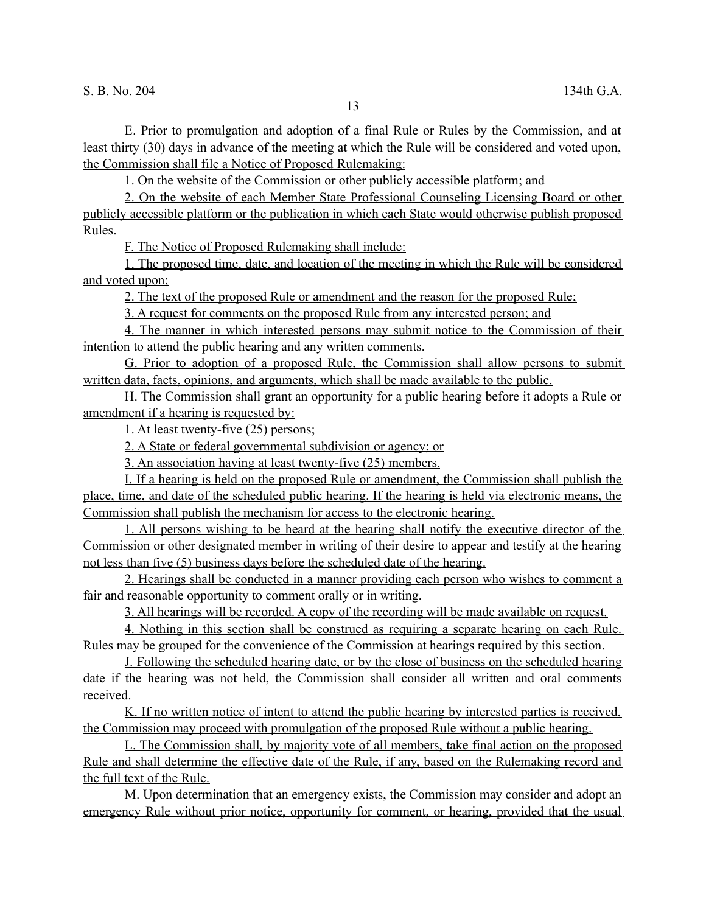E. Prior to promulgation and adoption of a final Rule or Rules by the Commission, and at least thirty (30) days in advance of the meeting at which the Rule will be considered and voted upon, the Commission shall file a Notice of Proposed Rulemaking:

1. On the website of the Commission or other publicly accessible platform; and

2. On the website of each Member State Professional Counseling Licensing Board or other publicly accessible platform or the publication in which each State would otherwise publish proposed Rules.

F. The Notice of Proposed Rulemaking shall include:

1. The proposed time, date, and location of the meeting in which the Rule will be considered and voted upon;

2. The text of the proposed Rule or amendment and the reason for the proposed Rule;

3. A request for comments on the proposed Rule from any interested person; and

4. The manner in which interested persons may submit notice to the Commission of their intention to attend the public hearing and any written comments.

G. Prior to adoption of a proposed Rule, the Commission shall allow persons to submit written data, facts, opinions, and arguments, which shall be made available to the public.

H. The Commission shall grant an opportunity for a public hearing before it adopts a Rule or amendment if a hearing is requested by:

1. At least twenty-five (25) persons;

2. A State or federal governmental subdivision or agency; or

3. An association having at least twenty-five (25) members.

I. If a hearing is held on the proposed Rule or amendment, the Commission shall publish the place, time, and date of the scheduled public hearing. If the hearing is held via electronic means, the Commission shall publish the mechanism for access to the electronic hearing.

1. All persons wishing to be heard at the hearing shall notify the executive director of the Commission or other designated member in writing of their desire to appear and testify at the hearing not less than five (5) business days before the scheduled date of the hearing.

2. Hearings shall be conducted in a manner providing each person who wishes to comment a fair and reasonable opportunity to comment orally or in writing.

3. All hearings will be recorded. A copy of the recording will be made available on request.

4. Nothing in this section shall be construed as requiring a separate hearing on each Rule. Rules may be grouped for the convenience of the Commission at hearings required by this section.

J. Following the scheduled hearing date, or by the close of business on the scheduled hearing date if the hearing was not held, the Commission shall consider all written and oral comments received.

K. If no written notice of intent to attend the public hearing by interested parties is received, the Commission may proceed with promulgation of the proposed Rule without a public hearing.

L. The Commission shall, by majority vote of all members, take final action on the proposed Rule and shall determine the effective date of the Rule, if any, based on the Rulemaking record and the full text of the Rule.

M. Upon determination that an emergency exists, the Commission may consider and adopt an emergency Rule without prior notice, opportunity for comment, or hearing, provided that the usual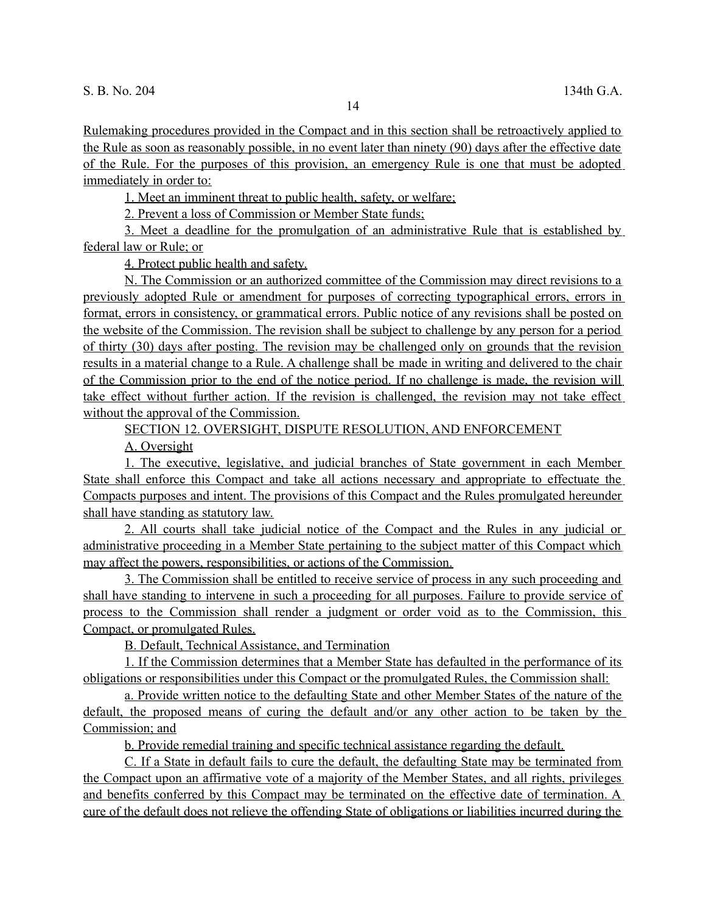Rulemaking procedures provided in the Compact and in this section shall be retroactively applied to the Rule as soon as reasonably possible, in no event later than ninety (90) days after the effective date of the Rule. For the purposes of this provision, an emergency Rule is one that must be adopted immediately in order to:

1. Meet an imminent threat to public health, safety, or welfare;

2. Prevent a loss of Commission or Member State funds;

3. Meet a deadline for the promulgation of an administrative Rule that is established by federal law or Rule; or

4. Protect public health and safety.

N. The Commission or an authorized committee of the Commission may direct revisions to a previously adopted Rule or amendment for purposes of correcting typographical errors, errors in format, errors in consistency, or grammatical errors. Public notice of any revisions shall be posted on the website of the Commission. The revision shall be subject to challenge by any person for a period of thirty (30) days after posting. The revision may be challenged only on grounds that the revision results in a material change to a Rule. A challenge shall be made in writing and delivered to the chair of the Commission prior to the end of the notice period. If no challenge is made, the revision will take effect without further action. If the revision is challenged, the revision may not take effect without the approval of the Commission.

SECTION 12. OVERSIGHT, DISPUTE RESOLUTION, AND ENFORCEMENT

A. Oversight

1. The executive, legislative, and judicial branches of State government in each Member State shall enforce this Compact and take all actions necessary and appropriate to effectuate the Compacts purposes and intent. The provisions of this Compact and the Rules promulgated hereunder shall have standing as statutory law.

2. All courts shall take judicial notice of the Compact and the Rules in any judicial or administrative proceeding in a Member State pertaining to the subject matter of this Compact which may affect the powers, responsibilities, or actions of the Commission.

3. The Commission shall be entitled to receive service of process in any such proceeding and shall have standing to intervene in such a proceeding for all purposes. Failure to provide service of process to the Commission shall render a judgment or order void as to the Commission, this Compact, or promulgated Rules.

B. Default, Technical Assistance, and Termination

1. If the Commission determines that a Member State has defaulted in the performance of its obligations or responsibilities under this Compact or the promulgated Rules, the Commission shall:

a. Provide written notice to the defaulting State and other Member States of the nature of the default, the proposed means of curing the default and/or any other action to be taken by the Commission; and

b. Provide remedial training and specific technical assistance regarding the default.

C. If a State in default fails to cure the default, the defaulting State may be terminated from the Compact upon an affirmative vote of a majority of the Member States, and all rights, privileges and benefits conferred by this Compact may be terminated on the effective date of termination. A cure of the default does not relieve the offending State of obligations or liabilities incurred during the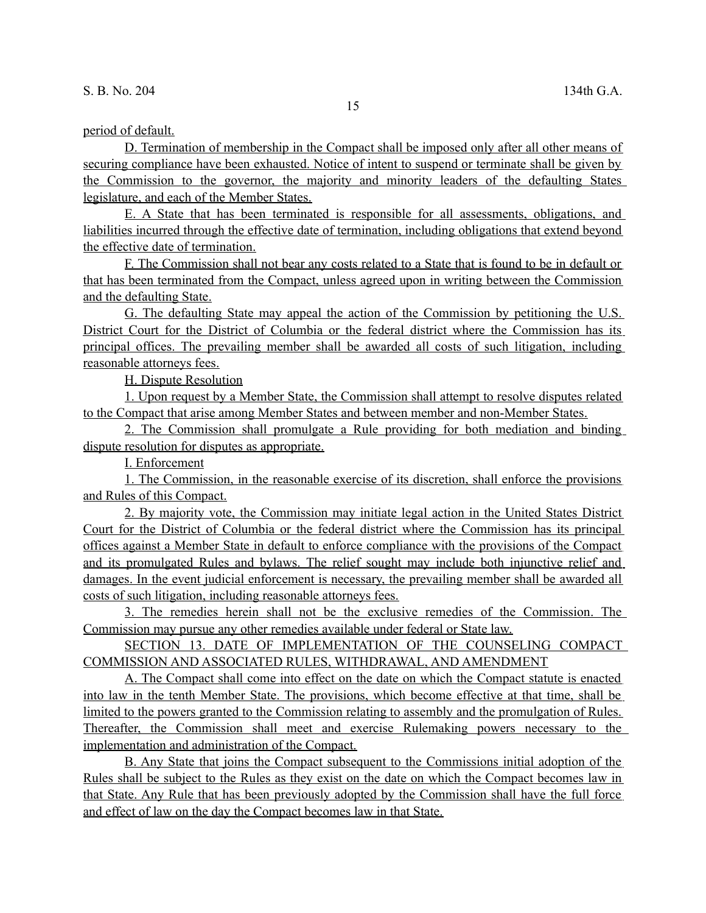period of default.

D. Termination of membership in the Compact shall be imposed only after all other means of securing compliance have been exhausted. Notice of intent to suspend or terminate shall be given by the Commission to the governor, the majority and minority leaders of the defaulting States legislature, and each of the Member States.

E. A State that has been terminated is responsible for all assessments, obligations, and liabilities incurred through the effective date of termination, including obligations that extend beyond the effective date of termination.

F. The Commission shall not bear any costs related to a State that is found to be in default or that has been terminated from the Compact, unless agreed upon in writing between the Commission and the defaulting State.

G. The defaulting State may appeal the action of the Commission by petitioning the U.S. District Court for the District of Columbia or the federal district where the Commission has its principal offices. The prevailing member shall be awarded all costs of such litigation, including reasonable attorneys fees.

H. Dispute Resolution

1. Upon request by a Member State, the Commission shall attempt to resolve disputes related to the Compact that arise among Member States and between member and non-Member States.

2. The Commission shall promulgate a Rule providing for both mediation and binding dispute resolution for disputes as appropriate.

I. Enforcement

1. The Commission, in the reasonable exercise of its discretion, shall enforce the provisions and Rules of this Compact.

2. By majority vote, the Commission may initiate legal action in the United States District Court for the District of Columbia or the federal district where the Commission has its principal offices against a Member State in default to enforce compliance with the provisions of the Compact and its promulgated Rules and bylaws. The relief sought may include both injunctive relief and damages. In the event judicial enforcement is necessary, the prevailing member shall be awarded all costs of such litigation, including reasonable attorneys fees.

3. The remedies herein shall not be the exclusive remedies of the Commission. The Commission may pursue any other remedies available under federal or State law.

 SECTION 13. DATE OF IMPLEMENTATION OF THE COUNSELING COMPACT COMMISSION AND ASSOCIATED RULES, WITHDRAWAL, AND AMENDMENT

A. The Compact shall come into effect on the date on which the Compact statute is enacted into law in the tenth Member State. The provisions, which become effective at that time, shall be limited to the powers granted to the Commission relating to assembly and the promulgation of Rules. Thereafter, the Commission shall meet and exercise Rulemaking powers necessary to the implementation and administration of the Compact.

B. Any State that joins the Compact subsequent to the Commissions initial adoption of the Rules shall be subject to the Rules as they exist on the date on which the Compact becomes law in that State. Any Rule that has been previously adopted by the Commission shall have the full force and effect of law on the day the Compact becomes law in that State.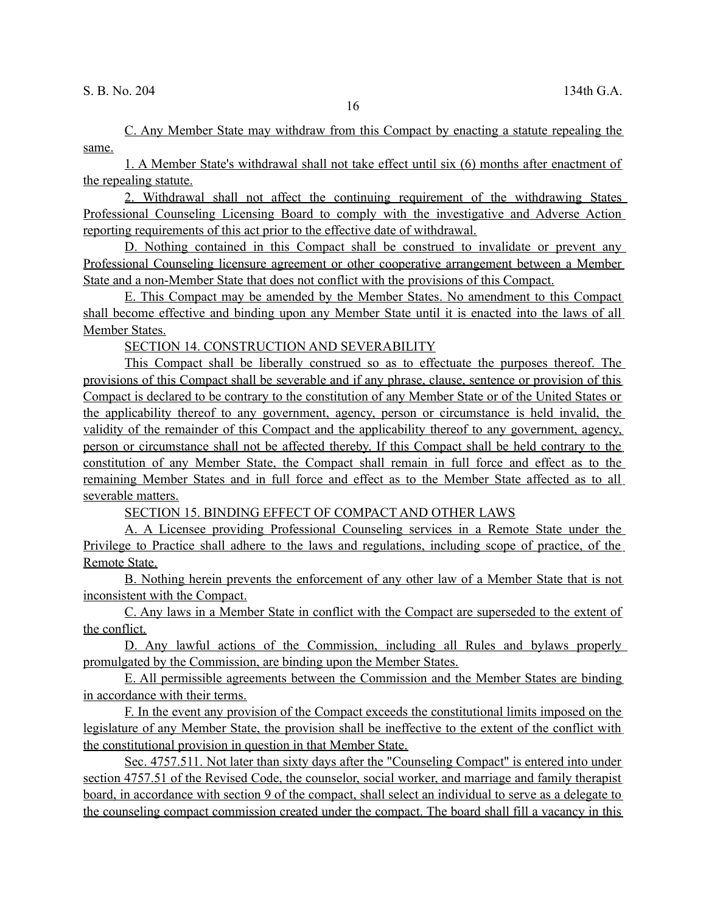C. Any Member State may withdraw from this Compact by enacting a statute repealing the same.

1. A Member State's withdrawal shall not take effect until six (6) months after enactment of the repealing statute.

2. Withdrawal shall not affect the continuing requirement of the withdrawing States Professional Counseling Licensing Board to comply with the investigative and Adverse Action reporting requirements of this act prior to the effective date of withdrawal.

D. Nothing contained in this Compact shall be construed to invalidate or prevent any Professional Counseling licensure agreement or other cooperative arrangement between a Member State and a non-Member State that does not conflict with the provisions of this Compact.

E. This Compact may be amended by the Member States. No amendment to this Compact shall become effective and binding upon any Member State until it is enacted into the laws of all Member States.

SECTION 14. CONSTRUCTION AND SEVERABILITY

This Compact shall be liberally construed so as to effectuate the purposes thereof. The provisions of this Compact shall be severable and if any phrase, clause, sentence or provision of this Compact is declared to be contrary to the constitution of any Member State or of the United States or the applicability thereof to any government, agency, person or circumstance is held invalid, the validity of the remainder of this Compact and the applicability thereof to any government, agency, person or circumstance shall not be affected thereby. If this Compact shall be held contrary to the constitution of any Member State, the Compact shall remain in full force and effect as to the remaining Member States and in full force and effect as to the Member State affected as to all severable matters.

SECTION 15. BINDING EFFECT OF COMPACT AND OTHER LAWS

A. A Licensee providing Professional Counseling services in a Remote State under the Privilege to Practice shall adhere to the laws and regulations, including scope of practice, of the Remote State.

B. Nothing herein prevents the enforcement of any other law of a Member State that is not inconsistent with the Compact.

C. Any laws in a Member State in conflict with the Compact are superseded to the extent of the conflict.

D. Any lawful actions of the Commission, including all Rules and bylaws properly promulgated by the Commission, are binding upon the Member States.

E. All permissible agreements between the Commission and the Member States are binding in accordance with their terms.

F. In the event any provision of the Compact exceeds the constitutional limits imposed on the legislature of any Member State, the provision shall be ineffective to the extent of the conflict with the constitutional provision in question in that Member State.

 Sec. 4757.511. Not later than sixty days after the "Counseling Compact" is entered into under section 4757.51 of the Revised Code, the counselor, social worker, and marriage and family therapist board, in accordance with section 9 of the compact, shall select an individual to serve as a delegate to the counseling compact commission created under the compact. The board shall fill a vacancy in this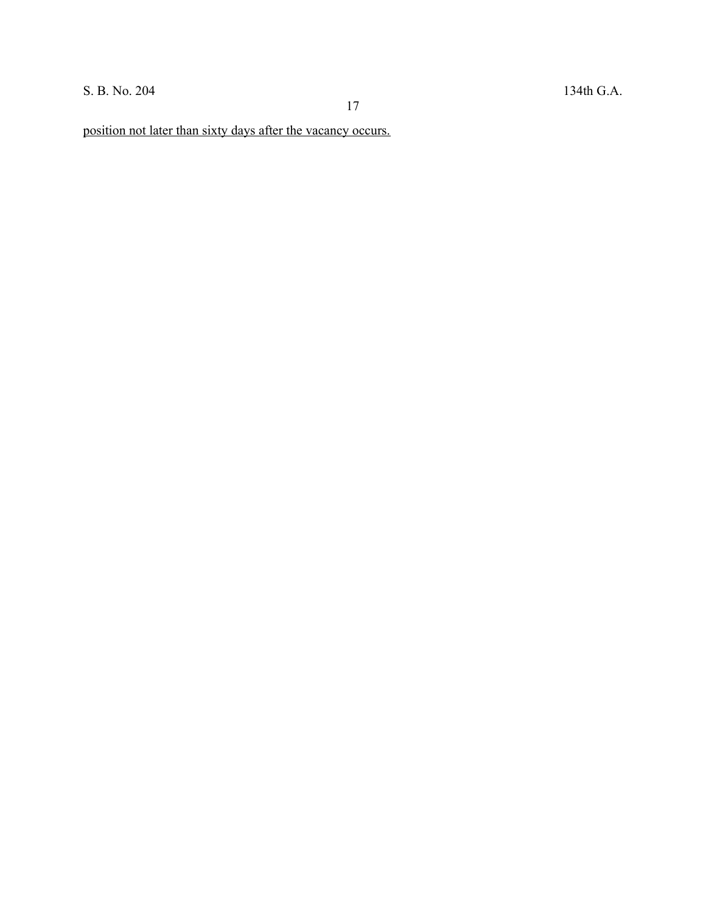## S. B. No. 204 134th G.A.

position not later than sixty days after the vacancy occurs.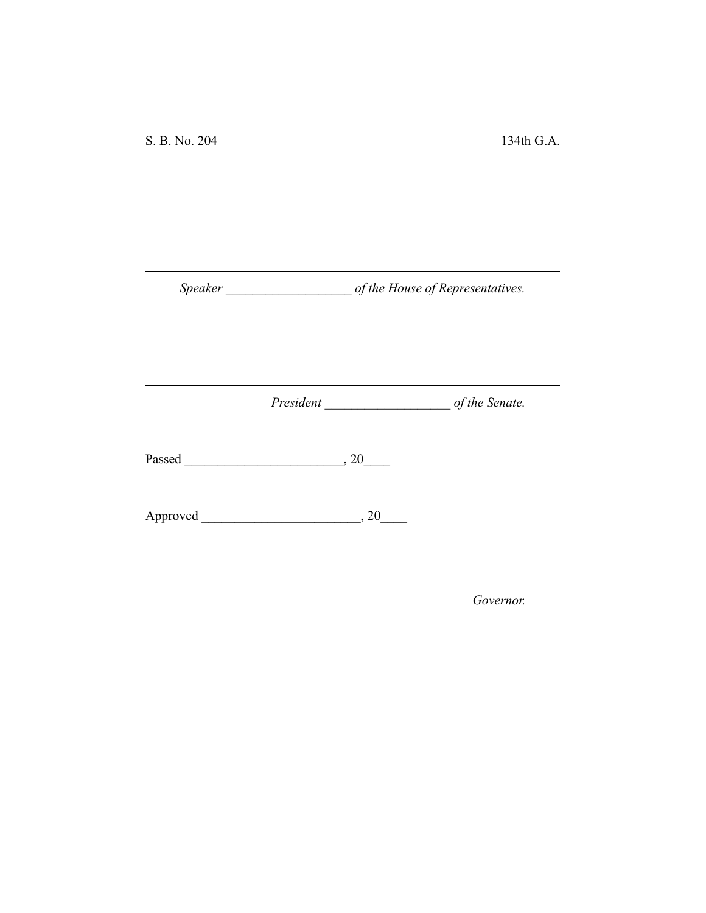*Speaker \_\_\_\_\_\_\_\_\_\_\_\_\_\_\_\_\_\_\_ of the House of Representatives.*

*President \_\_\_\_\_\_\_\_\_\_\_\_\_\_\_\_\_\_\_ of the Senate.*

Passed \_\_\_\_\_\_\_\_\_\_\_\_\_\_\_\_\_\_\_\_\_\_\_\_, 20\_\_\_\_

Approved \_\_\_\_\_\_\_\_\_\_\_\_\_\_\_\_\_\_\_\_\_\_\_\_, 20\_\_\_\_

*Governor.*